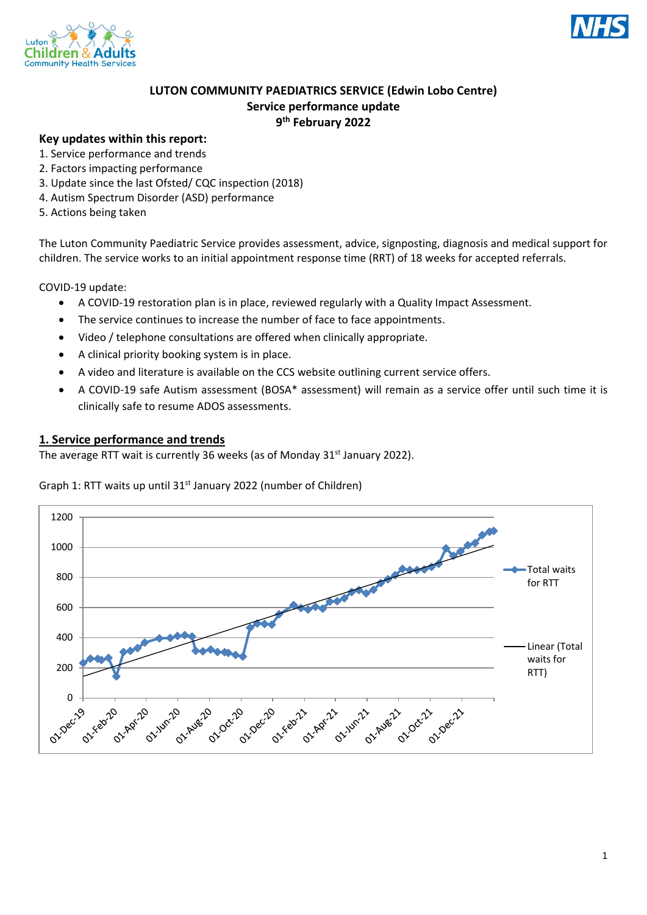



# **LUTON COMMUNITY PAEDIATRICS SERVICE (Edwin Lobo Centre) Service performance update 9 th February 2022**

## **Key updates within this report:**

- 1. Service performance and trends
- 2. Factors impacting performance
- 3. Update since the last Ofsted/ CQC inspection (2018)
- 4. Autism Spectrum Disorder (ASD) performance
- 5. Actions being taken

The Luton Community Paediatric Service provides assessment, advice, signposting, diagnosis and medical support for children. The service works to an initial appointment response time (RRT) of 18 weeks for accepted referrals.

COVID-19 update:

- A COVID-19 restoration plan is in place, reviewed regularly with a Quality Impact Assessment.
- The service continues to increase the number of face to face appointments.
- Video / telephone consultations are offered when clinically appropriate.
- A clinical priority booking system is in place.
- A video and literature is available on the CCS website outlining current service offers.
- A COVID-19 safe Autism assessment (BOSA\* assessment) will remain as a service offer until such time it is clinically safe to resume ADOS assessments.

### **1. Service performance and trends**

The average RTT wait is currently 36 weeks (as of Monday  $31<sup>st</sup>$  January 2022).

#### Graph 1: RTT waits up until 31<sup>st</sup> January 2022 (number of Children)

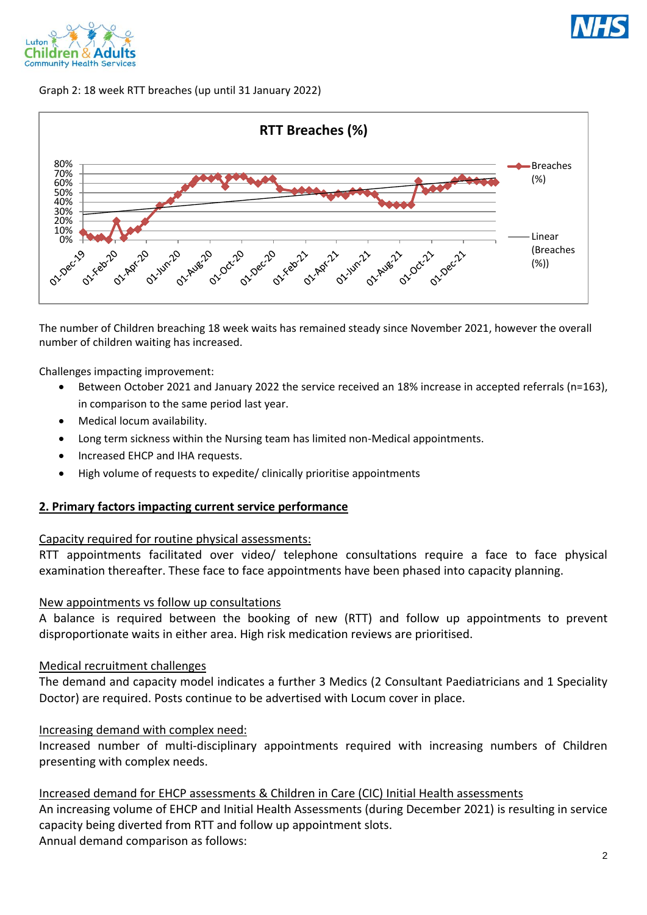



### Graph 2: 18 week RTT breaches (up until 31 January 2022)



The number of Children breaching 18 week waits has remained steady since November 2021, however the overall number of children waiting has increased.

Challenges impacting improvement:

- Between October 2021 and January 2022 the service received an 18% increase in accepted referrals (n=163), in comparison to the same period last year.
- Medical locum availability.
- Long term sickness within the Nursing team has limited non-Medical appointments.
- Increased EHCP and IHA requests.
- High volume of requests to expedite/ clinically prioritise appointments

### **2. Primary factors impacting current service performance**

#### Capacity required for routine physical assessments:

RTT appointments facilitated over video/ telephone consultations require a face to face physical examination thereafter. These face to face appointments have been phased into capacity planning.

### New appointments vs follow up consultations

A balance is required between the booking of new (RTT) and follow up appointments to prevent disproportionate waits in either area. High risk medication reviews are prioritised.

## Medical recruitment challenges

The demand and capacity model indicates a further 3 Medics (2 Consultant Paediatricians and 1 Speciality Doctor) are required. Posts continue to be advertised with Locum cover in place.

### Increasing demand with complex need:

Increased number of multi-disciplinary appointments required with increasing numbers of Children presenting with complex needs.

### Increased demand for EHCP assessments & Children in Care (CIC) Initial Health assessments

An increasing volume of EHCP and Initial Health Assessments (during December 2021) is resulting in service capacity being diverted from RTT and follow up appointment slots. Annual demand comparison as follows: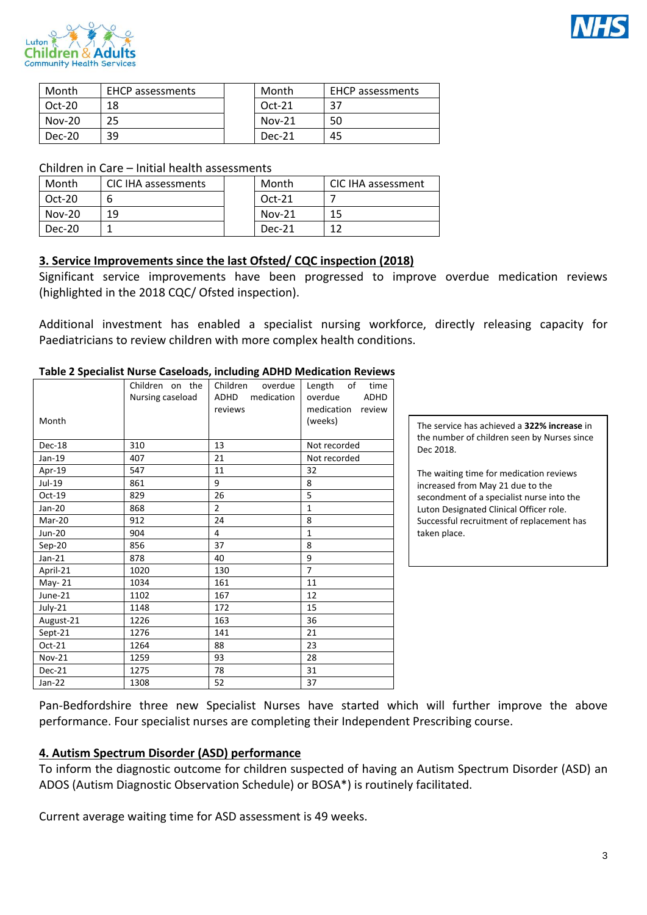



| Month    | <b>EHCP</b> assessments | Month    | <b>EHCP</b> assessments |
|----------|-------------------------|----------|-------------------------|
| $Oct-20$ | 18                      | $Oct-21$ | 37                      |
| $Nov-20$ | 25                      | $Nov-21$ | 50                      |
| Dec-20   | 39                      | Dec-21   | 45                      |

Children in Care – Initial health assessments

| Month    | CIC IHA assessments | Month    | CIC IHA assessment |
|----------|---------------------|----------|--------------------|
| $Oct-20$ |                     | $Oct-21$ |                    |
| $Nov-20$ | 19                  | $Nov-21$ | 15                 |
| Dec-20   |                     | Dec-21   |                    |

# **3. Service Improvements since the last Ofsted/ CQC inspection (2018)**

Significant service improvements have been progressed to improve overdue medication reviews (highlighted in the 2018 CQC/ Ofsted inspection).

Additional investment has enabled a specialist nursing workforce, directly releasing capacity for Paediatricians to review children with more complex health conditions.

| Month         | Children on the<br>Nursing caseload | Children<br>overdue<br>medication<br>ADHD<br>reviews | Length of<br>time<br>overdue<br><b>ADHD</b><br>medication<br>review<br>(weeks) |
|---------------|-------------------------------------|------------------------------------------------------|--------------------------------------------------------------------------------|
| Dec-18        | 310                                 | 13                                                   | Not recorded                                                                   |
| Jan-19        | 407                                 | 21                                                   | Not recorded                                                                   |
| Apr-19        | 547                                 | 11                                                   | 32                                                                             |
| Jul-19        | 861                                 | 9                                                    | 8                                                                              |
| Oct-19        | 829                                 | 26                                                   | 5                                                                              |
| Jan-20        | 868                                 | $\overline{2}$                                       | $\mathbf{1}$                                                                   |
| Mar-20        | 912                                 | 24                                                   | 8                                                                              |
| <b>Jun-20</b> | 904                                 | 4                                                    | $\mathbf{1}$                                                                   |
| Sep-20        | 856                                 | 37                                                   | 8                                                                              |
| $Jan-21$      | 878                                 | 40                                                   | 9                                                                              |
| April-21      | 1020                                | 130                                                  | $\overline{7}$                                                                 |
| May-21        | 1034                                | 161                                                  | 11                                                                             |
| June-21       | 1102                                | 167                                                  | 12                                                                             |
| July-21       | 1148                                | 172                                                  | 15                                                                             |
| August-21     | 1226                                | 163                                                  | 36                                                                             |
| Sept-21       | 1276                                | 141                                                  | 21                                                                             |
| Oct-21        | 1264                                | 88                                                   | 23                                                                             |
| <b>Nov-21</b> | 1259                                | 93                                                   | 28                                                                             |
| Dec-21        | 1275                                | 78                                                   | 31                                                                             |
| $Jan-22$      | 1308                                | 52                                                   | 37                                                                             |

### **Table 2 Specialist Nurse Caseloads, including ADHD Medication Reviews**

The service has achieved a **322% increase** in the number of children seen by Nurses since Dec 2018.

The waiting time for medication reviews increased from May 21 due to the secondment of a specialist nurse into the Luton Designated Clinical Officer role. Successful recruitment of replacement has taken place.

Pan-Bedfordshire three new Specialist Nurses have started which will further improve the above performance. Four specialist nurses are completing their Independent Prescribing course.

# **4. Autism Spectrum Disorder (ASD) performance**

To inform the diagnostic outcome for children suspected of having an Autism Spectrum Disorder (ASD) an ADOS (Autism Diagnostic Observation Schedule) or BOSA\*) is routinely facilitated.

Current average waiting time for ASD assessment is 49 weeks.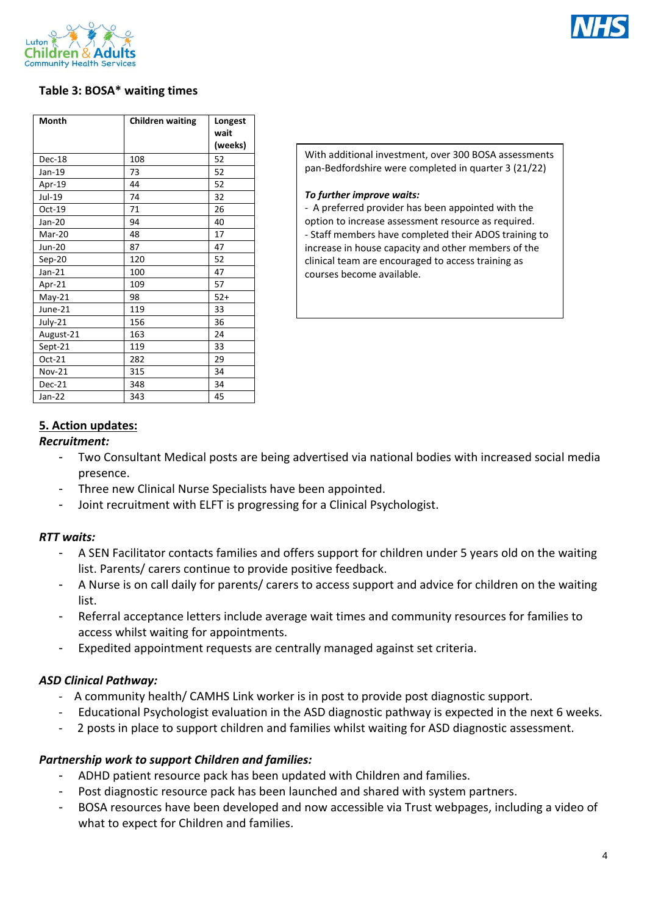



# **Table 3: BOSA\* waiting times**

| <b>Month</b> | <b>Children waiting</b> | Longest<br>wait<br>(weeks) |
|--------------|-------------------------|----------------------------|
| Dec-18       | 108                     | 52                         |
| Jan-19       | 73                      | 52                         |
| Apr-19       | 44                      | 52                         |
| Jul-19       | 74                      | 32                         |
| Oct-19       | 71                      | 26                         |
| Jan-20       | 94                      | 40                         |
| Mar-20       | 48                      | 17                         |
| Jun-20       | 87                      | 47                         |
| $Sep-20$     | 120                     | 52                         |
| $Jan-21$     | 100                     | 47                         |
| Apr-21       | 109                     | 57                         |
| $May-21$     | 98                      | $52+$                      |
| June-21      | 119                     | 33                         |
| July-21      | 156                     | 36                         |
| August-21    | 163                     | 24                         |
| Sept-21      | 119                     | 33                         |
| Oct-21       | 282                     | 29                         |
| Nov-21       | 315                     | 34                         |
| Dec-21       | 348                     | 34                         |
| $Jan-22$     | 343                     | 45                         |

With additional investment, over 300 BOSA assessments pan-Bedfordshire were completed in quarter 3 (21/22)

#### *To further improve waits:*

- A preferred provider has been appointed with the option to increase assessment resource as required. - Staff members have completed their ADOS training to increase in house capacity and other members of the clinical team are encouraged to access training as courses become available.

# **5. Action updates:**

## *Recruitment:*

- Two Consultant Medical posts are being advertised via national bodies with increased social media presence.
- Three new Clinical Nurse Specialists have been appointed.
- Joint recruitment with ELFT is progressing for a Clinical Psychologist.

# *RTT waits:*

- A SEN Facilitator contacts families and offers support for children under 5 years old on the waiting list. Parents/ carers continue to provide positive feedback.
- A Nurse is on call daily for parents/ carers to access support and advice for children on the waiting list.
- Referral acceptance letters include average wait times and community resources for families to access whilst waiting for appointments.
- Expedited appointment requests are centrally managed against set criteria.

# *ASD Clinical Pathway:*

- A community health/ CAMHS Link worker is in post to provide post diagnostic support.
- Educational Psychologist evaluation in the ASD diagnostic pathway is expected in the next 6 weeks.
- 2 posts in place to support children and families whilst waiting for ASD diagnostic assessment.

# *Partnership work to support Children and families:*

- ADHD patient resource pack has been updated with Children and families.
- Post diagnostic resource pack has been launched and shared with system partners.
- BOSA resources have been developed and now accessible via Trust webpages, including a video of what to expect for Children and families.